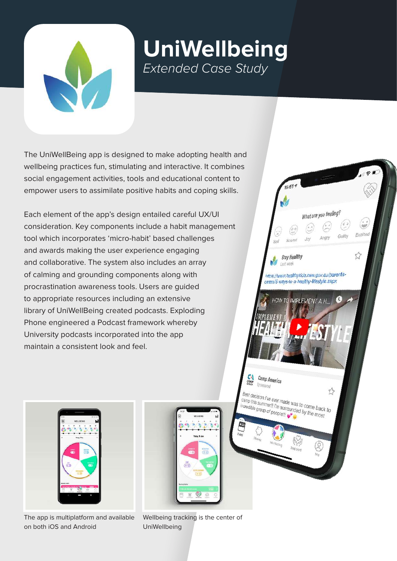

## **UniWellbeing** *Extended Case Study*

What are you feeling!

 $\tau$ 

**Stay Healthy** Lest week

Camp America

Best decision I've ever made was to come back to<br>camp this summer!! I'm surrounded by the mack to Best decision I've ever made was to come back<br>camp this summer!! I'm surrounded by the back<br>incredible group of people!!!

https://www.healthykids.nsw.gov.au/parentscarers/5-ways-to-a-healthy-lifestyle.aspx

**IMPLEMENT** 

 $\frac{1}{2}$ 

The UniWellBeing app is designed to make adopting health and wellbeing practices fun, stimulating and interactive. It combines social engagement activities, tools and educational content to empower users to assimilate positive habits and coping skills.

Each element of the app's design entailed careful UX/UI consideration. Key components include a habit management tool which incorporates 'micro-habit' based challenges and awards making the user experience engaging and collaborative. The system also includes an array of calming and grounding components along with procrastination awareness tools. Users are guided to appropriate resources including an extensive library of UniWellBeing created podcasts. Exploding Phone engineered a Podcast framework whereby University podcasts incorporated into the app maintain a consistent look and feel.



The app is multiplatform and available on both iOS and Android

Wellbeing tracking is the center of UniWellbeing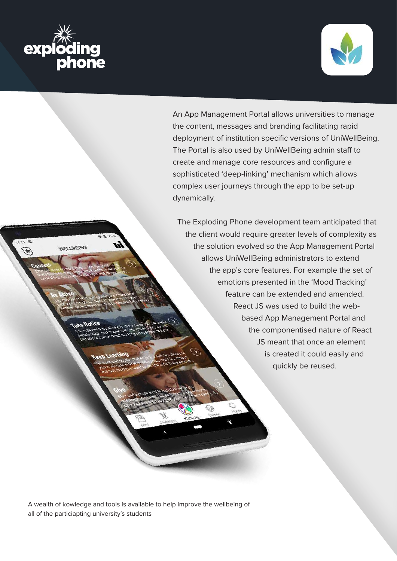

 $U''$ 



An App Management Portal allows universities to manage the content, messages and branding facilitating rapid deployment of institution specific versions of UniWellBeing. The Portal is also used by UniWellBeing admin staff to create and manage core resources and configure a sophisticated 'deep-linking' mechanism which allows complex user journeys through the app to be set-up dynamically.

The Exploding Phone development team anticipated that the client would require greater levels of complexity as the solution evolved so the App Management Portal allows UniWellBeing administrators to extend the app's core features. For example the set of emotions presented in the 'Mood Tracking' feature can be extended and amended. React JS was used to build the webbased App Management Portal and the componentised nature of React JS meant that once an element is created it could easily and quickly be reused.

A wealth of kowledge and tools is available to help improve the wellbeing of all of the particiapting university's students